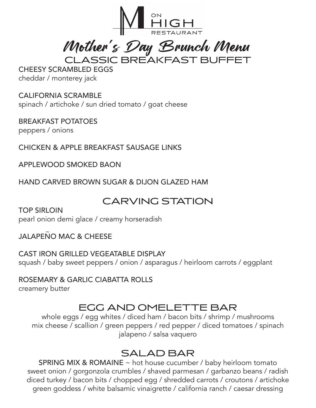

CLASSIC BREAKFAST BUFFET Mother's Day Brunch Menu

CHEESY SCRAMBLED EGGS cheddar / monterey jack

CALIFORNIA SCRAMBLE spinach / artichoke / sun dried tomato / goat cheese

BREAKFAST POTATOES peppers / onions

CHICKEN & APPLE BREAKFAST SAUSAGE LINKS

APPLEWOOD SMOKED BAON

HAND CARVED BROWN SUGAR & DIJON GLAZED HAM

## CARVING STATION

TOP SIRLOIN pearl onion demi glace / creamy horseradish

JALAPENO MAC & CHEESE  $\sim$ 

CAST IRON GRILLED VEGEATABLE DISPLAY squash / baby sweet peppers / onion / asparagus / heirloom carrots / eggplant

ROSEMARY & GARLIC CIABATTA ROLLS creamery butter

# EGG AND OMELETTE BAR

whole eggs / egg whites / diced ham / bacon bits / shrimp / mushrooms mix cheese / scallion / green peppers / red pepper / diced tomatoes / spinach jalapeno / salsa vaquero

## SALAD BAR

SPRING MIX & ROMAINE ~ hot house cucumber / baby heirloom tomato sweet onion / gorgonzola crumbles / shaved parmesan / garbanzo beans / radish diced turkey / bacon bits / chopped egg / shredded carrots / croutons / artichoke green goddess / white balsamic vinaigrette / california ranch / caesar dressing